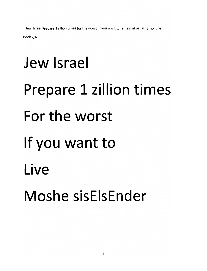Jew Israel Prepare I zillion times for the worst if you want to remain alive Trust no one

Book 78

## Jew Israel Prepare 1 zillion times For the worst If you want to Live Moshe sisElsEnder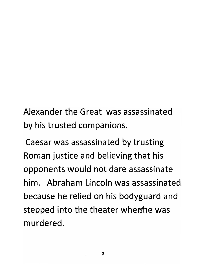*Alexander the Great was assassinated by his trusted companions.*

*Caesar was assassinated by trusting Roman justice and believing that his opponents would not dare assassinate him. Abraham Lincoln was assassinated because he relied on his bodyguard and stepped into the theater whertfhe was murdered.*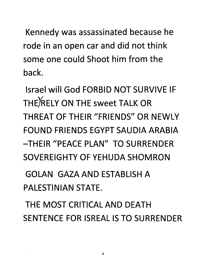*Kennedy was assassinated because he rode in an open car and did not think some one could Shoot him from the back.*

*Israel will God FORBID NOT SURVIVE IF THE)RELY ON THE sweet TALK OR THREAT OF THEIR "FRIENDS" OR NEWLY FOUND FRIENDS EGYPT SAUDIA ARABIA -THEIR "PEACE PLAN" TO SURRENDER SOVEREIGHTY OF YEHUDA SHOMRON*

*GOLAN GAZA AND ESTABLISH A PALESTINIAN STATE.*

*THE MOST CRITICAL AND DEATH SENTENCE FOR ISREAL IS TO SURRENDER*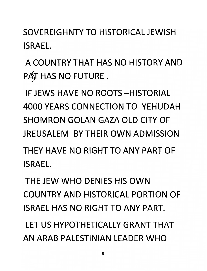*SOVEREIGHNTYTO HISTORICAL JEWISH ISRAEL.*

*A COUNTRY THAT HAS NO HISTORY AND PA\$T HAS NO FUTURE .*

*IF JEWS HAVE NO ROOTS-HISTORIAL 4000 YEARS CONNECTION TO YEHUDAH SHOMRON GOLAN GAZA OLD CITY OF JREUSALEM BY THEIR OWN ADMISSION THEY HAVE NO RIGHT TO ANY PART OF ISRAEL.*

*THE JEW WHO DENIES HIS OWN COUNTRY AND HISTORICAL PORTION OF ISRAEL HAS NO RIGHT TO ANY PART.*

*LET US HYPOTHETICALLY GRANT THAT AN ARAB PALESTINIAN LEADER WHO*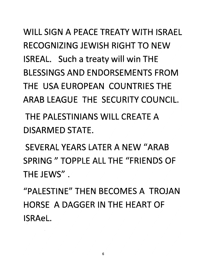*WILL SIGN A PEACE TREATY WITH ISRAEL RECOGNIZING JEWISH RIGHT TO NEW ISREAL. Such a treaty will win THE BLESSINGS AND ENDORSEMENTS FROM THE USA EUROPEAN COUNTRIES THE ARAB LEAGUE THE SECURITY COUNCIL.*

*THE PALESTINIANS WILL CREATE A DISARMED STATE.*

*SEVERAL YEARS LATER A NEW "ARAB SPRING " TOPPLE ALL THE "FRIENDS OF THE JEWS".*

*"PALESTINE" THEN BECOMES A TROJAN HORSE A DAGGER IN THE HEART OF ISRAeL*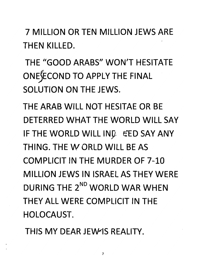*7 MILLION OR TEN MILLION JEWS ARE THEN KILLED.*

*THE "GOOD ARABS" WON'T HESITATE ONEJECOND TO APPLY THE FINAL SOLUTION ON THE JEWS.*

*THE ARAB WILL NOT HESITAE OR BE DETERRED WHAT THE WORLD WILL SAY IF THE WORLD WILLING ^ED SAY ANY THING. THE W ORLD WILL BE AS COMPUCIT IN THE MURDER OF 7-10 MILLION JEWS IN ISRAEL AS THEY WERE DURING THE 2nd WORLD WAR WHEN THEY ALL WERE COMPUCIT IN THE HOLOCAUST.*

*THIS MY DEAR JEWIS REALITY.*